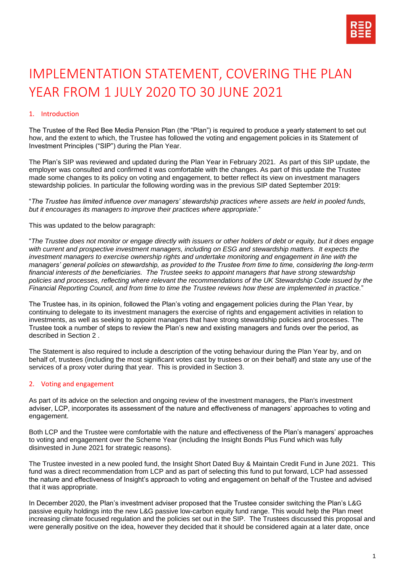

# IMPLEMENTATION STATEMENT, COVERING THE PLAN YEAR FROM 1 JULY 2020 TO 30 JUNE 2021

## 1. Introduction

The Trustee of the Red Bee Media Pension Plan (the "Plan") is required to produce a yearly statement to set out how, and the extent to which, the Trustee has followed the voting and engagement policies in its Statement of Investment Principles ("SIP") during the Plan Year.

The Plan's SIP was reviewed and updated during the Plan Year in February 2021. As part of this SIP update, the employer was consulted and confirmed it was comfortable with the changes. As part of this update the Trustee made some changes to its policy on voting and engagement, to better reflect its view on investment managers stewardship policies. In particular the following wording was in the previous SIP dated September 2019:

"*The Trustee has limited influence over managers' stewardship practices where assets are held in pooled funds, but it encourages its managers to improve their practices where appropriate*."

This was updated to the below paragraph:

"*The Trustee does not monitor or engage directly with issuers or other holders of debt or equity, but it does engage with current and prospective investment managers, including on ESG and stewardship matters. It expects the investment managers to exercise ownership rights and undertake monitoring and engagement in line with the managers' general policies on stewardship, as provided to the Trustee from time to time, considering the long-term financial interests of the beneficiaries. The Trustee seeks to appoint managers that have strong stewardship policies and processes, reflecting where relevant the recommendations of the UK Stewardship Code issued by the Financial Reporting Council, and from time to time the Trustee reviews how these are implemented in practice.*"

The Trustee has, in its opinion, followed the Plan's voting and engagement policies during the Plan Year, by continuing to delegate to its investment managers the exercise of rights and engagement activities in relation to investments, as well as seeking to appoint managers that have strong stewardship policies and processes. The Trustee took a number of steps to review the Plan's new and existing managers and funds over the period, as described in Section 2 .

The Statement is also required to include a description of the voting behaviour during the Plan Year by, and on behalf of, trustees (including the most significant votes cast by trustees or on their behalf) and state any use of the services of a proxy voter during that year. This is provided in Section 3.

### 2. Voting and engagement

As part of its advice on the selection and ongoing review of the investment managers, the Plan's investment adviser, LCP, incorporates its assessment of the nature and effectiveness of managers' approaches to voting and engagement.

Both LCP and the Trustee were comfortable with the nature and effectiveness of the Plan's managers' approaches to voting and engagement over the Scheme Year (including the Insight Bonds Plus Fund which was fully disinvested in June 2021 for strategic reasons).

The Trustee invested in a new pooled fund, the Insight Short Dated Buy & Maintain Credit Fund in June 2021. This fund was a direct recommendation from LCP and as part of selecting this fund to put forward, LCP had assessed the nature and effectiveness of Insight's approach to voting and engagement on behalf of the Trustee and advised that it was appropriate.

In December 2020, the Plan's investment adviser proposed that the Trustee consider switching the Plan's L&G passive equity holdings into the new L&G passive low-carbon equity fund range. This would help the Plan meet increasing climate focused regulation and the policies set out in the SIP. The Trustees discussed this proposal and were generally positive on the idea, however they decided that it should be considered again at a later date, once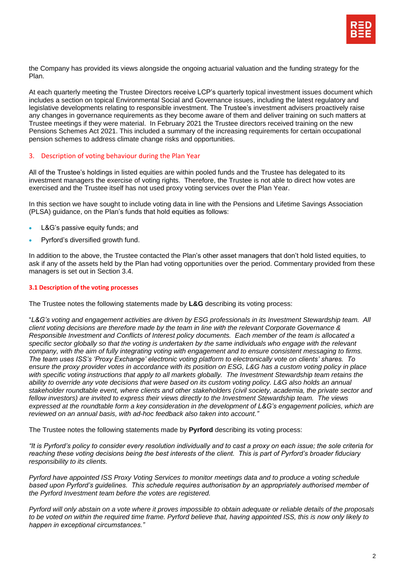

the Company has provided its views alongside the ongoing actuarial valuation and the funding strategy for the Plan.

At each quarterly meeting the Trustee Directors receive LCP's quarterly topical investment issues document which includes a section on topical Environmental Social and Governance issues, including the latest regulatory and legislative developments relating to responsible investment. The Trustee's investment advisers proactively raise any changes in governance requirements as they become aware of them and deliver training on such matters at Trustee meetings if they were material. In February 2021 the Trustee directors received training on the new Pensions Schemes Act 2021. This included a summary of the increasing requirements for certain occupational pension schemes to address climate change risks and opportunities.

#### 3. Description of voting behaviour during the Plan Year

All of the Trustee's holdings in listed equities are within pooled funds and the Trustee has delegated to its investment managers the exercise of voting rights. Therefore, the Trustee is not able to direct how votes are exercised and the Trustee itself has not used proxy voting services over the Plan Year.

In this section we have sought to include voting data in line with the Pensions and Lifetime Savings Association (PLSA) guidance, on the Plan's funds that hold equities as follows:

- L&G's passive equity funds; and
- Pyrford's diversified growth fund.

In addition to the above, the Trustee contacted the Plan's other asset managers that don't hold listed equities, to ask if any of the assets held by the Plan had voting opportunities over the period. Commentary provided from these managers is set out in Section 3.4.

#### **3.1 Description of the voting processes**

The Trustee notes the following statements made by **L&G** describing its voting process:

"*L&G's voting and engagement activities are driven by ESG professionals in its Investment Stewardship team. All client voting decisions are therefore made by the team in line with the relevant Corporate Governance & Responsible Investment and Conflicts of Interest policy documents. Each member of the team is allocated a*  specific sector globally so that the voting is undertaken by the same individuals who engage with the relevant *company, with the aim of fully integrating voting with engagement and to ensure consistent messaging to firms. The team uses ISS's 'Proxy Exchange' electronic voting platform to electronically vote on clients' shares. To ensure the proxy provider votes in accordance with its position on ESG, L&G has a custom voting policy in place*  with specific voting instructions that apply to all markets globally. The Investment Stewardship team retains the *ability to override any vote decisions that were based on its custom voting policy. L&G also holds an annual stakeholder roundtable event, where clients and other stakeholders (civil society, academia, the private sector and fellow investors) are invited to express their views directly to the Investment Stewardship team. The views expressed at the roundtable form a key consideration in the development of L&G's engagement policies, which are reviewed on an annual basis, with ad-hoc feedback also taken into account."*

The Trustee notes the following statements made by **Pyrford** describing its voting process:

*"It is Pyrford's policy to consider every resolution individually and to cast a proxy on each issue; the sole criteria for reaching these voting decisions being the best interests of the client. This is part of Pyrford's broader fiduciary responsibility to its clients.* 

*Pyrford have appointed ISS Proxy Voting Services to monitor meetings data and to produce a voting schedule based upon Pyrford's guidelines. This schedule requires authorisation by an appropriately authorised member of the Pyrford Investment team before the votes are registered.*

*Pyrford will only abstain on a vote where it proves impossible to obtain adequate or reliable details of the proposals to be voted on within the required time frame. Pyrford believe that, having appointed ISS, this is now only likely to happen in exceptional circumstances."*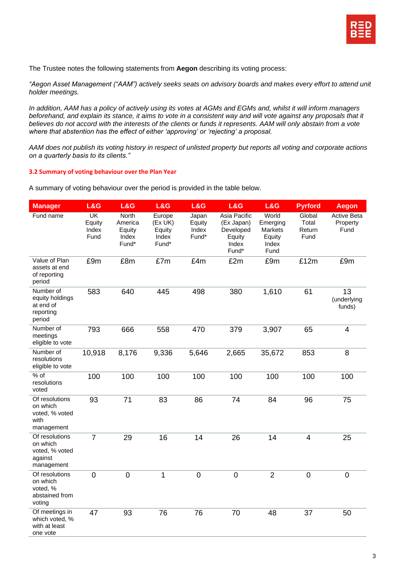

The Trustee notes the following statements from **Aegon** describing its voting process:

*"Aegon Asset Management ("AAM") actively seeks seats on advisory boards and makes every effort to attend unit holder meetings.* 

*In addition, AAM has a policy of actively using its votes at AGMs and EGMs and, whilst it will inform managers beforehand, and explain its stance, it aims to vote in a consistent way and will vote against any proposals that it believes do not accord with the interests of the clients or funds it represents. AAM will only abstain from a vote where that abstention has the effect of either 'approving' or 'rejecting' a proposal.* 

*AAM does not publish its voting history in respect of unlisted property but reports all voting and corporate actions on a quarterly basis to its clients."*

#### **3.2 Summary of voting behaviour over the Plan Year**

A summary of voting behaviour over the period is provided in the table below.

| <b>Manager</b>                                                        | L&G                                                 | L&G                                                 | L&G                                           | L&G                               | L&G                                                                 | L&G                                                     | <b>Pyrford</b>                    | <b>Aegon</b>                           |
|-----------------------------------------------------------------------|-----------------------------------------------------|-----------------------------------------------------|-----------------------------------------------|-----------------------------------|---------------------------------------------------------------------|---------------------------------------------------------|-----------------------------------|----------------------------------------|
| Fund name                                                             | $\overline{\mathsf{UK}}$<br>Equity<br>Index<br>Fund | <b>North</b><br>America<br>Equity<br>Index<br>Fund* | Europe<br>(Ex UK)<br>Equity<br>Index<br>Fund* | Japan<br>Equity<br>Index<br>Fund* | Asia Pacific<br>(Ex Japan)<br>Developed<br>Equity<br>Index<br>Fund* | World<br>Emerging<br>Markets<br>Equity<br>Index<br>Fund | Global<br>Total<br>Return<br>Fund | <b>Active Beta</b><br>Property<br>Fund |
| Value of Plan<br>assets at end<br>of reporting<br>period              | £9m                                                 | £8m                                                 | £7m                                           | £4m                               | £2m                                                                 | £9m                                                     | £12m                              | £9m                                    |
| Number of<br>equity holdings<br>at end of<br>reporting<br>period      | 583                                                 | 640                                                 | 445                                           | 498                               | 380                                                                 | 1,610                                                   | 61                                | 13<br>(underlying<br>funds)            |
| Number of<br>meetings<br>eligible to vote                             | 793                                                 | 666                                                 | 558                                           | 470                               | 379                                                                 | 3,907                                                   | 65                                | $\overline{4}$                         |
| Number of<br>resolutions<br>eligible to vote                          | 10,918                                              | 8,176                                               | 9,336                                         | 5,646                             | 2,665                                                               | 35,672                                                  | 853                               | 8                                      |
| % of<br>resolutions<br>voted                                          | 100                                                 | 100                                                 | 100                                           | 100                               | 100                                                                 | 100                                                     | 100                               | 100                                    |
| Of resolutions<br>on which<br>voted, % voted<br>with<br>management    | 93                                                  | 71                                                  | 83                                            | 86                                | 74                                                                  | 84                                                      | 96                                | 75                                     |
| Of resolutions<br>on which<br>voted, % voted<br>against<br>management | $\overline{7}$                                      | 29                                                  | 16                                            | 14                                | 26                                                                  | 14                                                      | $\overline{\mathbf{4}}$           | 25                                     |
| Of resolutions<br>on which<br>voted, %<br>abstained from<br>voting    | $\overline{0}$                                      | $\overline{0}$                                      | 1                                             | $\mathbf 0$                       | $\overline{0}$                                                      | $\overline{2}$                                          | $\overline{0}$                    | $\mathbf 0$                            |
| Of meetings in<br>which voted, %<br>with at least<br>one vote         | 47                                                  | 93                                                  | 76                                            | 76                                | 70                                                                  | 48                                                      | 37                                | 50                                     |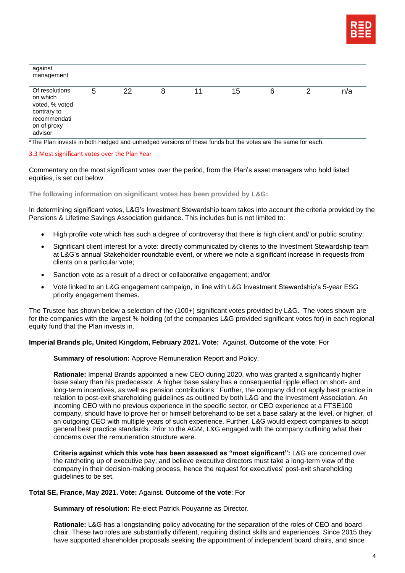

| against<br>management                                                                                 |   |    |   |    |    |   |   |     |
|-------------------------------------------------------------------------------------------------------|---|----|---|----|----|---|---|-----|
| Of resolutions<br>on which<br>voted, % voted<br>contrary to<br>recommendati<br>on of proxy<br>advisor | 5 | 22 | 8 | 11 | 15 | 6 | 2 | n/a |

\*The Plan invests in both hedged and unhedged versions of these funds but the votes are the same for each.

#### 3.3 Most significant votes over the Plan Year

Commentary on the most significant votes over the period, from the Plan's asset managers who hold listed equities, is set out below.

**The following information on significant votes has been provided by L&G:**

In determining significant votes, L&G's Investment Stewardship team takes into account the criteria provided by the Pensions & Lifetime Savings Association guidance. This includes but is not limited to:

- High profile vote which has such a degree of controversy that there is high client and/ or public scrutiny;
- Significant client interest for a vote: directly communicated by clients to the Investment Stewardship team at L&G's annual Stakeholder roundtable event, or where we note a significant increase in requests from clients on a particular vote;
- Sanction vote as a result of a direct or collaborative engagement; and/or
- Vote linked to an L&G engagement campaign, in line with L&G Investment Stewardship's 5-year ESG priority engagement themes.

The Trustee has shown below a selection of the (100+) significant votes provided by L&G. The votes shown are for the companies with the largest % holding (of the companies L&G provided significant votes for) in each regional equity fund that the Plan invests in.

#### **Imperial Brands plc, United Kingdom, February 2021. Vote:** Against. **Outcome of the vote**: For

**Summary of resolution:** Approve Remuneration Report and Policy.

**Rationale:** Imperial Brands appointed a new CEO during 2020, who was granted a significantly higher base salary than his predecessor. A higher base salary has a consequential ripple effect on short- and long-term incentives, as well as pension contributions. Further, the company did not apply best practice in relation to post-exit shareholding guidelines as outlined by both L&G and the Investment Association. An incoming CEO with no previous experience in the specific sector, or CEO experience at a FTSE100 company, should have to prove her or himself beforehand to be set a base salary at the level, or higher, of an outgoing CEO with multiple years of such experience. Further, L&G would expect companies to adopt general best practice standards. Prior to the AGM, L&G engaged with the company outlining what their concerns over the remuneration structure were.

**Criteria against which this vote has been assessed as "most significant":** L&G are concerned over the ratcheting up of executive pay; and believe executive directors must take a long-term view of the company in their decision-making process, hence the request for executives' post-exit shareholding guidelines to be set.

### **Total SE, France, May 2021. Vote:** Against. **Outcome of the vote**: For

**Summary of resolution:** Re-elect Patrick Pouyanne as Director.

**Rationale:** L&G has a longstanding policy advocating for the separation of the roles of CEO and board chair. These two roles are substantially different, requiring distinct skills and experiences. Since 2015 they have supported shareholder proposals seeking the appointment of independent board chairs, and since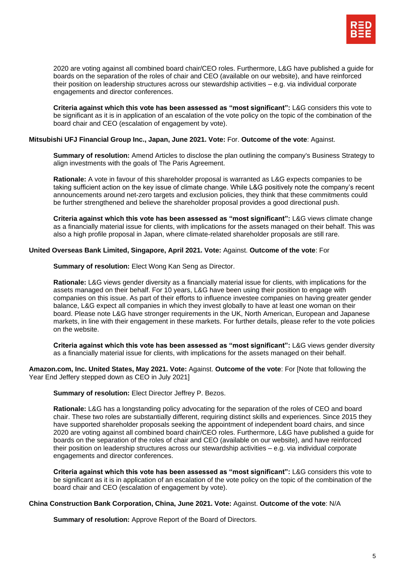

2020 are voting against all combined board chair/CEO roles. Furthermore, L&G have published a guide for boards on the separation of the roles of chair and CEO (available on our website), and have reinforced their position on leadership structures across our stewardship activities – e.g. via individual corporate engagements and director conferences.

**Criteria against which this vote has been assessed as "most significant":** L&G considers this vote to be significant as it is in application of an escalation of the vote policy on the topic of the combination of the board chair and CEO (escalation of engagement by vote).

#### **Mitsubishi UFJ Financial Group Inc., Japan, June 2021. Vote:** For. **Outcome of the vote**: Against.

**Summary of resolution:** Amend Articles to disclose the plan outlining the company's Business Strategy to align investments with the goals of The Paris Agreement.

**Rationale:** A vote in favour of this shareholder proposal is warranted as L&G expects companies to be taking sufficient action on the key issue of climate change. While L&G positively note the company's recent announcements around net-zero targets and exclusion policies, they think that these commitments could be further strengthened and believe the shareholder proposal provides a good directional push.

**Criteria against which this vote has been assessed as "most significant":** L&G views climate change as a financially material issue for clients, with implications for the assets managed on their behalf. This was also a high profile proposal in Japan, where climate-related shareholder proposals are still rare.

#### **United Overseas Bank Limited, Singapore, April 2021. Vote:** Against. **Outcome of the vote**: For

**Summary of resolution:** Elect Wong Kan Seng as Director.

**Rationale:** L&G views gender diversity as a financially material issue for clients, with implications for the assets managed on their behalf. For 10 years, L&G have been using their position to engage with companies on this issue. As part of their efforts to influence investee companies on having greater gender balance, L&G expect all companies in which they invest globally to have at least one woman on their board. Please note L&G have stronger requirements in the UK, North American, European and Japanese markets, in line with their engagement in these markets. For further details, please refer to the vote policies on the website.

**Criteria against which this vote has been assessed as "most significant":** L&G views gender diversity as a financially material issue for clients, with implications for the assets managed on their behalf.

**Amazon.com, Inc. United States, May 2021. Vote:** Against. **Outcome of the vote**: For [Note that following the Year End Jeffery stepped down as CEO in July 2021]

#### **Summary of resolution:** Elect Director Jeffrey P. Bezos.

**Rationale:** L&G has a longstanding policy advocating for the separation of the roles of CEO and board chair. These two roles are substantially different, requiring distinct skills and experiences. Since 2015 they have supported shareholder proposals seeking the appointment of independent board chairs, and since 2020 are voting against all combined board chair/CEO roles. Furthermore, L&G have published a guide for boards on the separation of the roles of chair and CEO (available on our website), and have reinforced their position on leadership structures across our stewardship activities – e.g. via individual corporate engagements and director conferences.

**Criteria against which this vote has been assessed as "most significant":** L&G considers this vote to be significant as it is in application of an escalation of the vote policy on the topic of the combination of the board chair and CEO (escalation of engagement by vote).

#### **China Construction Bank Corporation, China, June 2021. Vote:** Against. **Outcome of the vote**: N/A

**Summary of resolution:** Approve Report of the Board of Directors.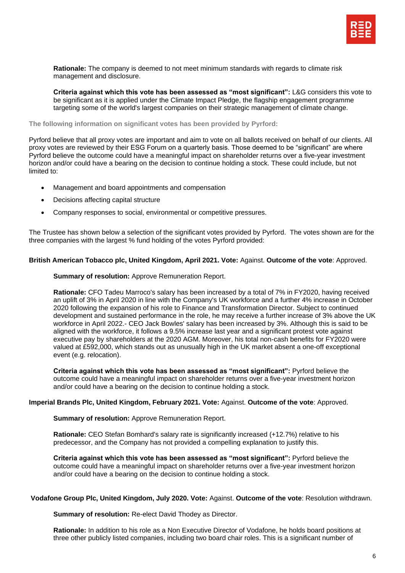

**Rationale:** The company is deemed to not meet minimum standards with regards to climate risk management and disclosure.

**Criteria against which this vote has been assessed as "most significant":** L&G considers this vote to be significant as it is applied under the Climate Impact Pledge, the flagship engagement programme targeting some of the world's largest companies on their strategic management of climate change.

**The following information on significant votes has been provided by Pyrford:**

Pyrford believe that all proxy votes are important and aim to vote on all ballots received on behalf of our clients. All proxy votes are reviewed by their ESG Forum on a quarterly basis. Those deemed to be "significant" are where Pyrford believe the outcome could have a meaningful impact on shareholder returns over a five-year investment horizon and/or could have a bearing on the decision to continue holding a stock. These could include, but not limited to:

- Management and board appointments and compensation
- Decisions affecting capital structure
- Company responses to social, environmental or competitive pressures.

The Trustee has shown below a selection of the significant votes provided by Pyrford. The votes shown are for the three companies with the largest % fund holding of the votes Pyrford provided:

#### **British American Tobacco plc, United Kingdom, April 2021. Vote:** Against. **Outcome of the vote**: Approved.

**Summary of resolution:** Approve Remuneration Report.

**Rationale:** CFO Tadeu Marroco's salary has been increased by a total of 7% in FY2020, having received an uplift of 3% in April 2020 in line with the Company's UK workforce and a further 4% increase in October 2020 following the expansion of his role to Finance and Transformation Director. Subject to continued development and sustained performance in the role, he may receive a further increase of 3% above the UK workforce in April 2022.- CEO Jack Bowles' salary has been increased by 3%. Although this is said to be aligned with the workforce, it follows a 9.5% increase last year and a significant protest vote against executive pay by shareholders at the 2020 AGM. Moreover, his total non-cash benefits for FY2020 were valued at £592,000, which stands out as unusually high in the UK market absent a one-off exceptional event (e.g. relocation).

**Criteria against which this vote has been assessed as "most significant":** Pyrford believe the outcome could have a meaningful impact on shareholder returns over a five-year investment horizon and/or could have a bearing on the decision to continue holding a stock.

### **Imperial Brands Plc, United Kingdom, February 2021. Vote:** Against. **Outcome of the vote**: Approved.

**Summary of resolution:** Approve Remuneration Report.

**Rationale:** CEO Stefan Bomhard's salary rate is significantly increased (+12.7%) relative to his predecessor, and the Company has not provided a compelling explanation to justify this.

**Criteria against which this vote has been assessed as "most significant":** Pyrford believe the outcome could have a meaningful impact on shareholder returns over a five-year investment horizon and/or could have a bearing on the decision to continue holding a stock.

#### **Vodafone Group Plc, United Kingdom, July 2020. Vote:** Against. **Outcome of the vote**: Resolution withdrawn.

**Summary of resolution:** Re-elect David Thodey as Director.

**Rationale:** In addition to his role as a Non Executive Director of Vodafone, he holds board positions at three other publicly listed companies, including two board chair roles. This is a significant number of